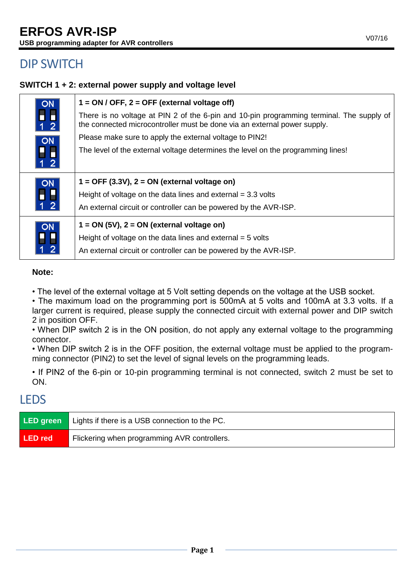# DIP SWITCH

## **SWITCH 1 + 2: external power supply and voltage level**

| <b>ON</b>                                                                        | $1 = ON / OFF$ , $2 = OFF$ (external voltage off)                                                                                                                    |
|----------------------------------------------------------------------------------|----------------------------------------------------------------------------------------------------------------------------------------------------------------------|
| $\begin{array}{c} \n\blacksquare \\ \blacksquare \\ \blacksquare\n\end{array}$   | There is no voltage at PIN 2 of the 6-pin and 10-pin programming terminal. The supply of<br>the connected microcontroller must be done via an external power supply. |
| ON<br>-<br>1 2                                                                   | Please make sure to apply the external voltage to PIN2!                                                                                                              |
|                                                                                  | The level of the external voltage determines the level on the programming lines!                                                                                     |
| $\begin{array}{c}\n\hline\n\text{ON} \\ \hline\n\text{I} \\ \hline\n\end{array}$ | $1 =$ OFF (3.3V), $2 =$ ON (external voltage on)                                                                                                                     |
|                                                                                  | Height of voltage on the data lines and external $=$ 3.3 volts                                                                                                       |
|                                                                                  | An external circuit or controller can be powered by the AVR-ISP.                                                                                                     |
| ON<br>1<br>1<br>2                                                                | $1 = ON (5V)$ , $2 = ON$ (external voltage on)                                                                                                                       |
|                                                                                  | Height of voltage on the data lines and external $=$ 5 volts                                                                                                         |
|                                                                                  | An external circuit or controller can be powered by the AVR-ISP.                                                                                                     |

### **Note:**

• The level of the external voltage at 5 Volt setting depends on the voltage at the USB socket.

• The maximum load on the programming port is 500mA at 5 volts and 100mA at 3.3 volts. If a larger current is required, please supply the connected circuit with external power and DIP switch 2 in position OFF.

• When DIP switch 2 is in the ON position, do not apply any external voltage to the programming connector.

• When DIP switch 2 is in the OFF position, the external voltage must be applied to the programming connector (PIN2) to set the level of signal levels on the programming leads.

• If PIN2 of the 6-pin or 10-pin programming terminal is not connected, switch 2 must be set to ON.

# LEDS

| LED green | Lights if there is a USB connection to the PC. |  |
|-----------|------------------------------------------------|--|
| LED red   | Flickering when programming AVR controllers.   |  |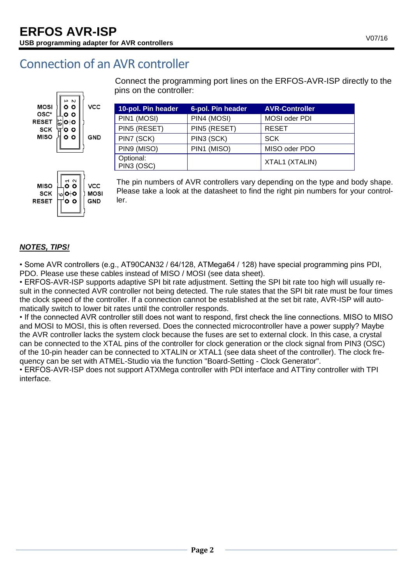# Connection of an AVR controller





Connect the programming port lines on the ERFOS-AVR-ISP directly to the pins on the controller:

| 10-pol. Pin header      | 6-pol. Pin header | <b>AVR-Controller</b> |
|-------------------------|-------------------|-----------------------|
| PIN1 (MOSI)             | PIN4 (MOSI)       | MOSI oder PDI         |
| PIN5 (RESET)            | PIN5 (RESET)      | <b>RESET</b>          |
| PIN7 (SCK)              | PIN3 (SCK)        | <b>SCK</b>            |
| PIN9 (MISO)             | PIN1 (MISO)       | MISO oder PDO         |
| Optional:<br>PIN3 (OSC) |                   | XTAL1 (XTALIN)        |

The pin numbers of AVR controllers vary depending on the type and body shape. Please take a look at the datasheet to find the right pin numbers for your controller.

## *NOTES, TIPS!*

• Some AVR controllers (e.g., AT90CAN32 / 64/128, ATMega64 / 128) have special programming pins PDI, PDO. Please use these cables instead of MISO / MOSI (see data sheet).

• ERFOS-AVR-ISP supports adaptive SPI bit rate adjustment. Setting the SPI bit rate too high will usually result in the connected AVR controller not being detected. The rule states that the SPI bit rate must be four times the clock speed of the controller. If a connection cannot be established at the set bit rate, AVR-ISP will automatically switch to lower bit rates until the controller responds.

• If the connected AVR controller still does not want to respond, first check the line connections. MISO to MISO and MOSI to MOSI, this is often reversed. Does the connected microcontroller have a power supply? Maybe the AVR controller lacks the system clock because the fuses are set to external clock. In this case, a crystal can be connected to the XTAL pins of the controller for clock generation or the clock signal from PIN3 (OSC) of the 10-pin header can be connected to XTALIN or XTAL1 (see data sheet of the controller). The clock frequency can be set with ATMEL-Studio via the function "Board-Setting - Clock Generator".

• ERFOS-AVR-ISP does not support ATXMega controller with PDI interface and ATTiny controller with TPI interface.